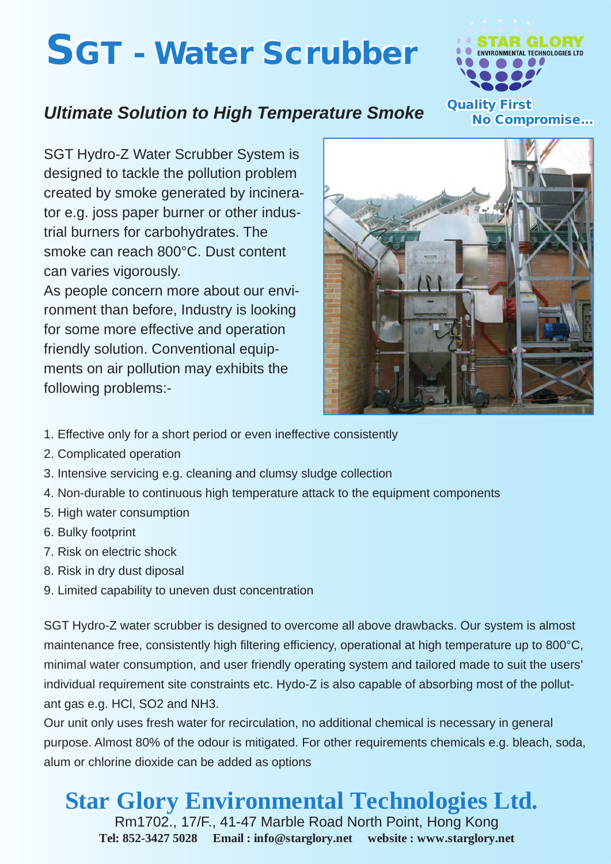## **SGT - Water Scrubber**



## *Ultimate Solution to High Temperature Smoke*

SGT Hydro-Z Water Scrubber System is designed to tackle the pollution problem created by smoke generated by incinerator e.g. joss paper burner or other industrial burners for carbohydrates. The smoke can reach 800°C. Dust content can varies vigorously.

As people concern more about our environment than before, Industry is looking for some more effective and operation friendly solution. Conventional equipments on air pollution may exhibits the following problems:-



- 1. Effective only for a short period or even ineffective consistently
- 2. Complicated operation
- 3. Intensive servicing e.g. cleaning and clumsy sludge collection
- 4. Non-durable to continuous high temperature attack to the equipment components
- 5. High water consumption
- 6. Bulky footprint
- 7. Risk on electric shock
- 8. Risk in dry dust diposal
- 9. Limited capability to uneven dust concentration

SGT Hydro-Z water scrubber is designed to overcome all above drawbacks. Our system is almost maintenance free, consistently high filtering efficiency, operational at high temperature up to 800°C, minimal water consumption, and user friendly operating system and tailored made to suit the users' individual requirement site constraints etc. Hydo-Z is also capable of absorbing most of the pollutant gas e.g. HCl, SO2 and NH3.

Our unit only uses fresh water for recirculation, no additional chemical is necessary in general purpose. Almost 80% of the odour is mitigated. For other requirements chemicals e.g. bleach, soda, alum or chlorine dioxide can be added as options

**Star Glory Environmental Technologies Ltd.**

Rm1702., 17/F., 41-47 Marble Road North Point, Hong Kong **Tel: 852-3427 5028 Email : info@starglory.net website : www.starglory.net**